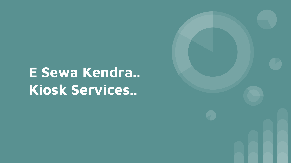# **E Sewa Kendra.. Kiosk Services..**

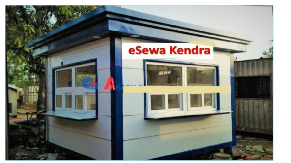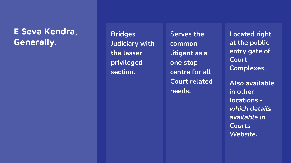#### **E Seva Kendra, Generally.**

**Bridges Judiciary with the lesser privileged section.**

**Serves the common litigant as a one stop centre for all Court related needs.**

**Located right at the public entry gate of Court Complexes.**

**Also available in other locations**  *which details available in Courts Website.*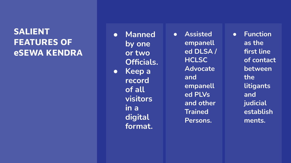# **SALIENT FEATURES OF eSEWA KENDRA**

**● Manned by one or two Officials. ● Keep a record of all visitors in a digital format.**

**● Assisted empanell ed DLSA / HCLSC Advocate and empanell ed PLVs and other Trained Persons.**

**● Function as the first line of contact between the litigants and judicial establish ments.**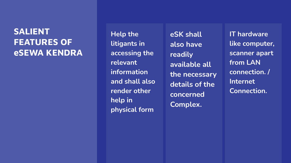# **SALIENT FEATURES OF eSEWA KENDRA**

**Help the litigants in accessing the relevant information and shall also render other help in physical form** 

**eSK shall also have readily available all the necessary details of the concerned Complex.**

**IT hardware like computer, scanner apart from LAN connection. / Internet Connection.**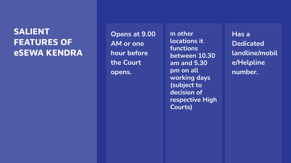# **SALIENT FEATURES OF eSEWA KENDRA**

**Opens at 9.00 AM or one hour before the Court Opens at 9.00** In other<br>
AM or one **consident**<br>
hour before between<br>
the Court am and !<br>
opens. pm on al

**locations it functions between 10.30 am and 5.30 pm on all working days (subject to decision of respective High Courts)**

**Has a Dedicated landline/mobil e/Helpline number.**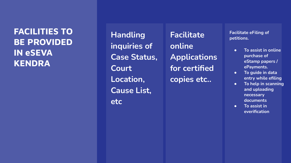**FACILITIES TO BE PROVIDED IN eSEVA KENDRA**

**Handling inquiries of Case Status, Court Location, Cause List, etc**

**Facilitate online Applications for certified copies etc..**

**Facilitate eFiling of petitions.**

- **● To assist in online purchase of eStamp papers / ePayments.**
- **● To guide in data entry while efiling**
- **● To help in scanning and uploading necessary documents**
- **● To assist in everification**